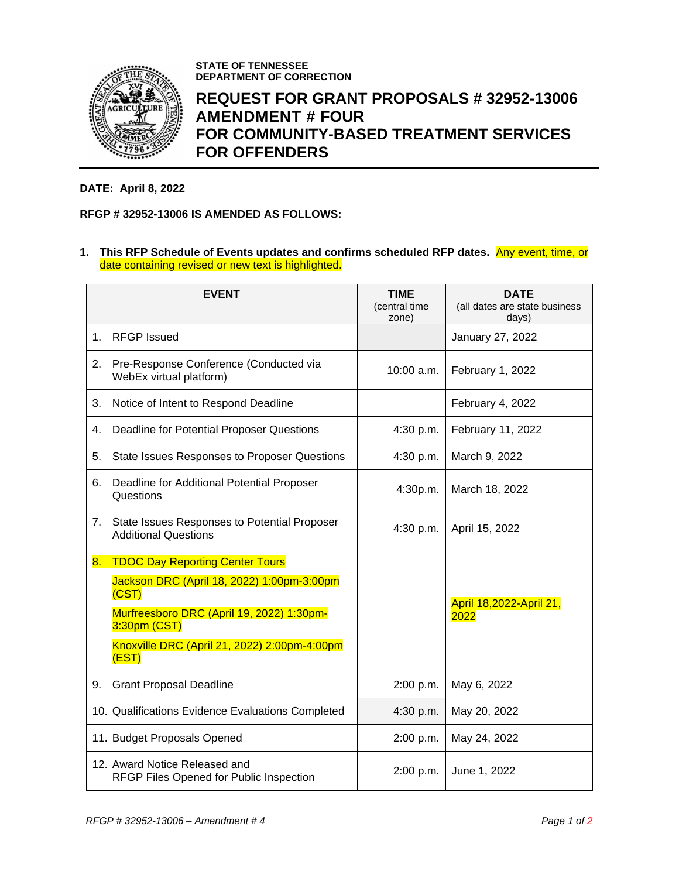

**STATE OF TENNESSEE DEPARTMENT OF CORRECTION**

## **REQUEST FOR GRANT PROPOSALS # 32952-13006 AMENDMENT # FOUR FOR COMMUNITY-BASED TREATMENT SERVICES FOR OFFENDERS**

## **DATE: April 8, 2022**

## **RFGP # 32952-13006 IS AMENDED AS FOLLOWS:**

**1. This RFP Schedule of Events updates and confirms scheduled RFP dates.** Any event, time, or date containing revised or new text is highlighted.

|    | <b>EVENT</b>                                                                                                                                                                                                        | <b>TIME</b><br>(central time<br>zone) | <b>DATE</b><br>(all dates are state business<br>days) |
|----|---------------------------------------------------------------------------------------------------------------------------------------------------------------------------------------------------------------------|---------------------------------------|-------------------------------------------------------|
| 1. | <b>RFGP</b> Issued                                                                                                                                                                                                  |                                       | January 27, 2022                                      |
| 2. | Pre-Response Conference (Conducted via<br>WebEx virtual platform)                                                                                                                                                   | $10:00$ a.m.                          | February 1, 2022                                      |
| 3. | Notice of Intent to Respond Deadline                                                                                                                                                                                |                                       | February 4, 2022                                      |
| 4. | Deadline for Potential Proposer Questions                                                                                                                                                                           | 4:30 p.m.                             | February 11, 2022                                     |
| 5. | <b>State Issues Responses to Proposer Questions</b>                                                                                                                                                                 | 4:30 p.m.                             | March 9, 2022                                         |
| 6. | Deadline for Additional Potential Proposer<br>Questions                                                                                                                                                             | 4:30p.m.                              | March 18, 2022                                        |
| 7. | State Issues Responses to Potential Proposer<br><b>Additional Questions</b>                                                                                                                                         | 4:30 p.m.                             | April 15, 2022                                        |
| 8. | <b>TDOC Day Reporting Center Tours</b><br>Jackson DRC (April 18, 2022) 1:00pm-3:00pm<br>(CST)<br>Murfreesboro DRC (April 19, 2022) 1:30pm-<br>3:30pm (CST)<br>Knoxville DRC (April 21, 2022) 2:00pm-4:00pm<br>(EST) |                                       | April 18,2022-April 21,<br>2022                       |
| 9. | <b>Grant Proposal Deadline</b>                                                                                                                                                                                      | 2:00 p.m.                             | May 6, 2022                                           |
|    | 10. Qualifications Evidence Evaluations Completed                                                                                                                                                                   | 4:30 p.m.                             | May 20, 2022                                          |
|    | 11. Budget Proposals Opened                                                                                                                                                                                         | 2:00 p.m.                             | May 24, 2022                                          |
|    | 12. Award Notice Released and<br>RFGP Files Opened for Public Inspection                                                                                                                                            | 2:00 p.m.                             | June 1, 2022                                          |